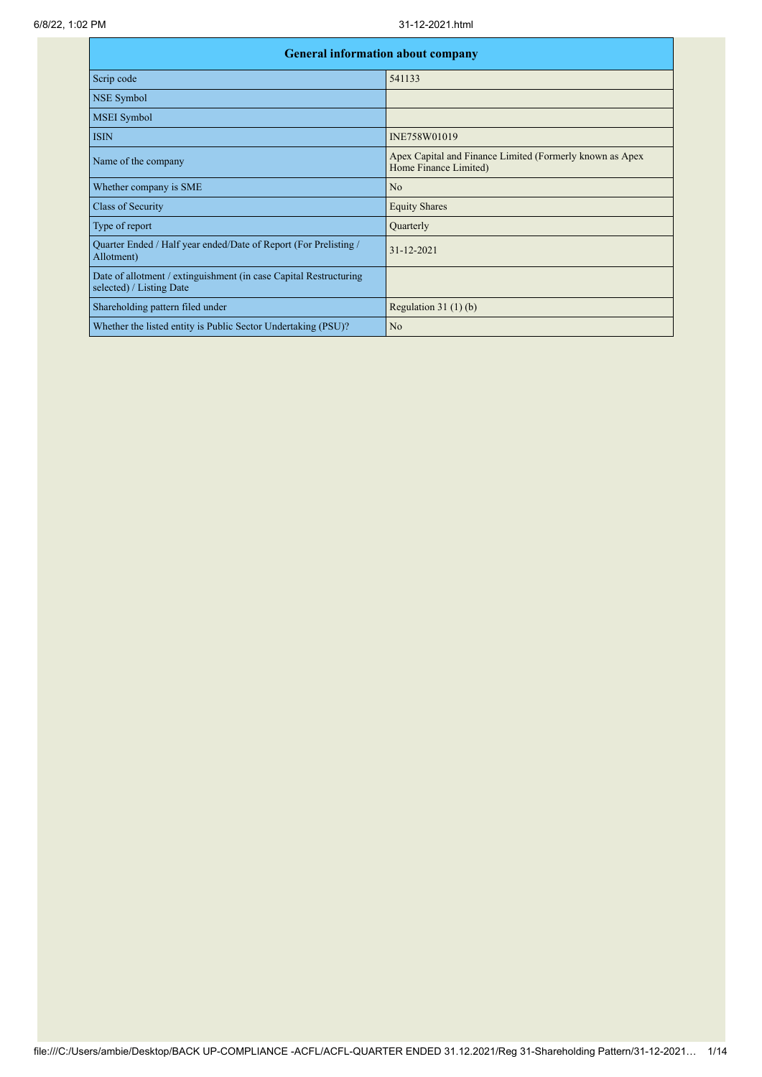| <b>General information about company</b>                                                      |                                                                                   |  |  |  |  |  |  |  |
|-----------------------------------------------------------------------------------------------|-----------------------------------------------------------------------------------|--|--|--|--|--|--|--|
| Scrip code                                                                                    | 541133                                                                            |  |  |  |  |  |  |  |
| NSE Symbol                                                                                    |                                                                                   |  |  |  |  |  |  |  |
| <b>MSEI</b> Symbol                                                                            |                                                                                   |  |  |  |  |  |  |  |
| <b>ISIN</b>                                                                                   | INE758W01019                                                                      |  |  |  |  |  |  |  |
| Name of the company                                                                           | Apex Capital and Finance Limited (Formerly known as Apex<br>Home Finance Limited) |  |  |  |  |  |  |  |
| Whether company is SME                                                                        | No                                                                                |  |  |  |  |  |  |  |
| Class of Security                                                                             | <b>Equity Shares</b>                                                              |  |  |  |  |  |  |  |
| Type of report                                                                                | Quarterly                                                                         |  |  |  |  |  |  |  |
| Quarter Ended / Half year ended/Date of Report (For Prelisting /<br>Allotment)                | $31 - 12 - 2021$                                                                  |  |  |  |  |  |  |  |
| Date of allotment / extinguishment (in case Capital Restructuring<br>selected) / Listing Date |                                                                                   |  |  |  |  |  |  |  |
| Shareholding pattern filed under                                                              | Regulation $31(1)(b)$                                                             |  |  |  |  |  |  |  |
| Whether the listed entity is Public Sector Undertaking (PSU)?                                 | N <sub>o</sub>                                                                    |  |  |  |  |  |  |  |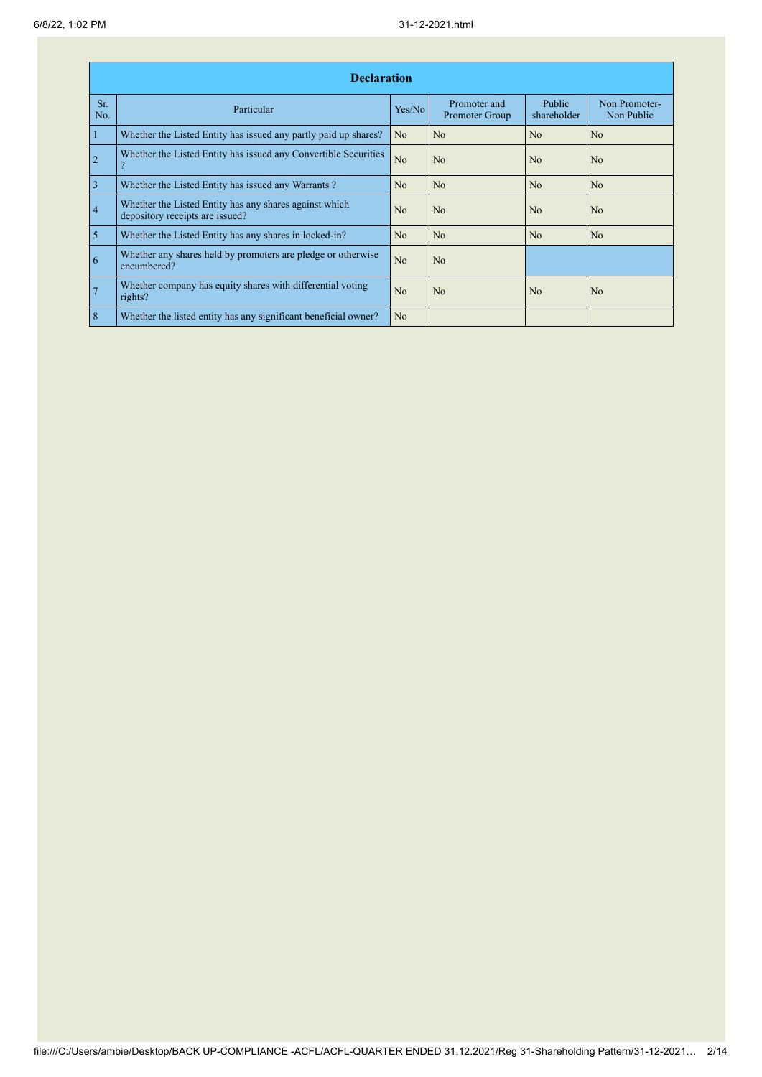|                | <b>Declaration</b>                                                                        |                |                                |                       |                             |  |  |  |  |  |  |
|----------------|-------------------------------------------------------------------------------------------|----------------|--------------------------------|-----------------------|-----------------------------|--|--|--|--|--|--|
| Sr.<br>No.     | Particular                                                                                | Yes/No         | Promoter and<br>Promoter Group | Public<br>shareholder | Non Promoter-<br>Non Public |  |  |  |  |  |  |
| $\mathbf{1}$   | Whether the Listed Entity has issued any partly paid up shares?                           | No             | No                             | No                    | N <sub>o</sub>              |  |  |  |  |  |  |
| $\overline{2}$ | Whether the Listed Entity has issued any Convertible Securities                           | N <sub>o</sub> | No                             | N <sub>o</sub>        | N <sub>o</sub>              |  |  |  |  |  |  |
| $\overline{3}$ | Whether the Listed Entity has issued any Warrants?                                        | No             | No                             | N <sub>o</sub>        | N <sub>o</sub>              |  |  |  |  |  |  |
| $\overline{4}$ | Whether the Listed Entity has any shares against which<br>depository receipts are issued? | No             | N <sub>0</sub>                 | N <sub>0</sub>        | No                          |  |  |  |  |  |  |
| $\overline{5}$ | Whether the Listed Entity has any shares in locked-in?                                    | N <sub>o</sub> | N <sub>o</sub>                 | N <sub>o</sub>        | N <sub>o</sub>              |  |  |  |  |  |  |
| $\overline{6}$ | Whether any shares held by promoters are pledge or otherwise<br>encumbered?               | N <sub>o</sub> | N <sub>o</sub>                 |                       |                             |  |  |  |  |  |  |
| $\overline{7}$ | Whether company has equity shares with differential voting<br>rights?                     | N <sub>0</sub> | N <sub>0</sub>                 | N <sub>0</sub>        | N <sub>o</sub>              |  |  |  |  |  |  |
| 8              | Whether the listed entity has any significant beneficial owner?                           | N <sub>o</sub> |                                |                       |                             |  |  |  |  |  |  |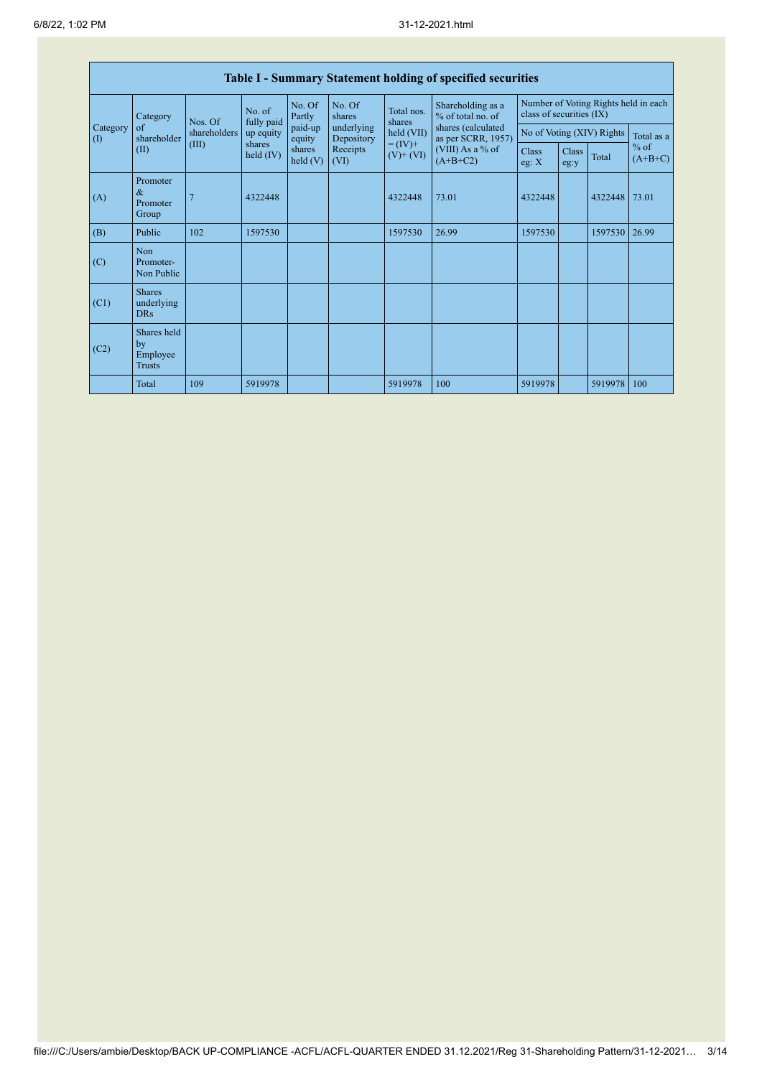|                                        | <b>Table I - Summary Statement holding of specified securities</b> |                      |                       |                          |                  |                                          |                                        |                                                                  |                           |            |                     |  |
|----------------------------------------|--------------------------------------------------------------------|----------------------|-----------------------|--------------------------|------------------|------------------------------------------|----------------------------------------|------------------------------------------------------------------|---------------------------|------------|---------------------|--|
|                                        | Category<br>Nos. Of<br>$\sigma$ f<br>shareholders<br>shareholder   | No. of<br>fully paid |                       | No. Of<br>Partly         | No. Of<br>shares | Total nos.<br>shares                     | Shareholding as a<br>% of total no. of | Number of Voting Rights held in each<br>class of securities (IX) |                           |            |                     |  |
| Category<br>$\left( \mathrm{I}\right)$ |                                                                    | up equity            | paid-up<br>equity     | underlying<br>Depository | held (VII)       | shares (calculated<br>as per SCRR, 1957) |                                        |                                                                  | No of Voting (XIV) Rights | Total as a |                     |  |
|                                        | (II)                                                               | (III)                | shares<br>held $(IV)$ | shares<br>held(V)        | Receipts<br>(VI) | $= (IV) +$<br>$(V)$ + $(VI)$             | (VIII) As a % of<br>$(A+B+C2)$         | Class<br>eg: X                                                   | Class<br>eg:y             | Total      | $%$ of<br>$(A+B+C)$ |  |
| (A)                                    | Promoter<br>$\&$<br>Promoter<br>Group                              |                      | 4322448               |                          |                  | 4322448                                  | 73.01                                  | 4322448                                                          |                           | 4322448    | 73.01               |  |
| (B)                                    | Public                                                             | 102                  | 1597530               |                          |                  | 1597530                                  | 26.99                                  | 1597530                                                          |                           | 1597530    | 26.99               |  |
| (C)                                    | Non<br>Promoter-<br>Non Public                                     |                      |                       |                          |                  |                                          |                                        |                                                                  |                           |            |                     |  |
| (C1)                                   | <b>Shares</b><br>underlying<br><b>DRs</b>                          |                      |                       |                          |                  |                                          |                                        |                                                                  |                           |            |                     |  |
| (C2)                                   | Shares held<br>by<br>Employee<br><b>Trusts</b>                     |                      |                       |                          |                  |                                          |                                        |                                                                  |                           |            |                     |  |
|                                        | Total                                                              | 109                  | 5919978               |                          |                  | 5919978                                  | 100                                    | 5919978                                                          |                           | 5919978    | 100                 |  |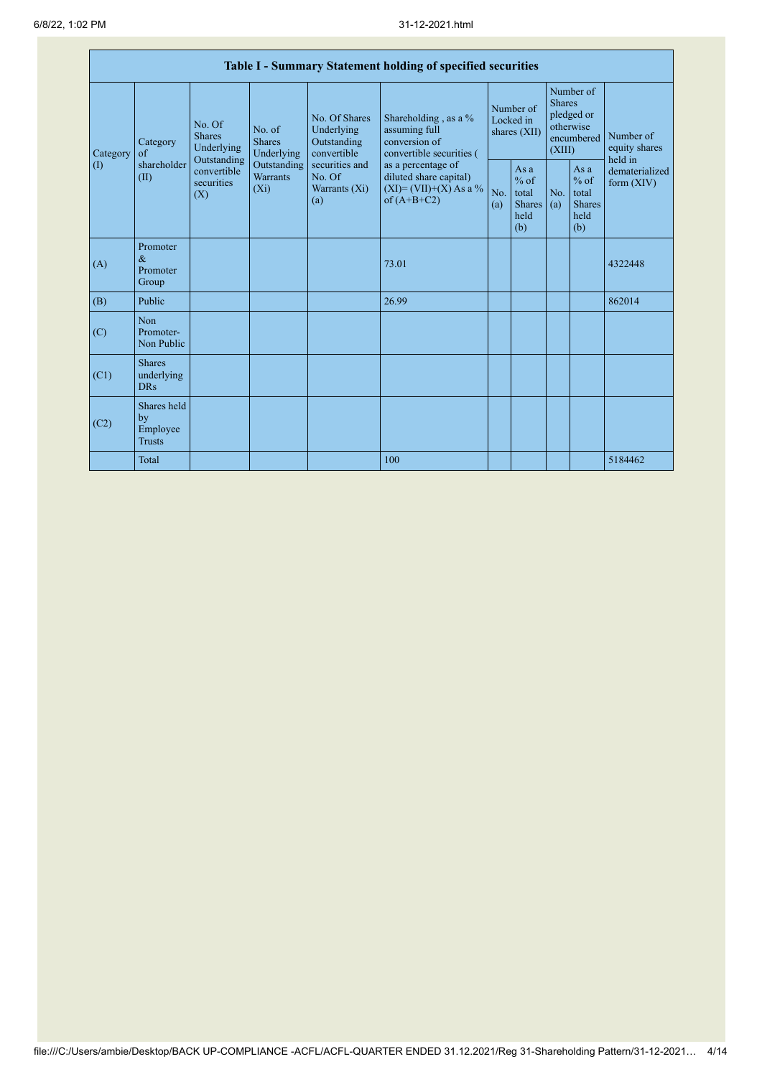|                                               | Table I - Summary Statement holding of specified securities |                                                                                          |                                                                                    |                                                                                                               |                                                                                                                                                                                  |                                        |                                                        |                                                                               |                                                         |                                       |  |
|-----------------------------------------------|-------------------------------------------------------------|------------------------------------------------------------------------------------------|------------------------------------------------------------------------------------|---------------------------------------------------------------------------------------------------------------|----------------------------------------------------------------------------------------------------------------------------------------------------------------------------------|----------------------------------------|--------------------------------------------------------|-------------------------------------------------------------------------------|---------------------------------------------------------|---------------------------------------|--|
| Category<br>$\left( \mathrm{I}\right)$<br>(A) | Category<br>of<br>shareholder<br>(II)                       | No. Of<br><b>Shares</b><br>Underlying<br>Outstanding<br>convertible<br>securities<br>(X) | No. of<br><b>Shares</b><br>Underlying<br>Outstanding<br><b>Warrants</b><br>$(X_i)$ | No. Of Shares<br>Underlying<br>Outstanding<br>convertible<br>securities and<br>No. Of<br>Warrants (Xi)<br>(a) | Shareholding, as a %<br>assuming full<br>conversion of<br>convertible securities (<br>as a percentage of<br>diluted share capital)<br>$(XI) = (VII)+(X) As a %$<br>of $(A+B+C2)$ | Number of<br>Locked in<br>shares (XII) |                                                        | Number of<br><b>Shares</b><br>pledged or<br>otherwise<br>encumbered<br>(XIII) |                                                         | Number of<br>equity shares<br>held in |  |
|                                               |                                                             |                                                                                          |                                                                                    |                                                                                                               |                                                                                                                                                                                  | No.<br>(a)                             | Asa<br>$%$ of<br>total<br><b>Shares</b><br>held<br>(b) | No.<br>(a)                                                                    | As a<br>$%$ of<br>total<br><b>Shares</b><br>held<br>(b) | dematerialized<br>form $(XIV)$        |  |
|                                               | Promoter<br>$\&$<br>Promoter<br>Group                       |                                                                                          |                                                                                    |                                                                                                               | 73.01                                                                                                                                                                            |                                        |                                                        |                                                                               |                                                         | 4322448                               |  |
| (B)                                           | Public                                                      |                                                                                          |                                                                                    |                                                                                                               | 26.99                                                                                                                                                                            |                                        |                                                        |                                                                               |                                                         | 862014                                |  |
| (C)                                           | N <sub>on</sub><br>Promoter-<br>Non Public                  |                                                                                          |                                                                                    |                                                                                                               |                                                                                                                                                                                  |                                        |                                                        |                                                                               |                                                         |                                       |  |
| (C1)                                          | <b>Shares</b><br>underlying<br><b>DRs</b>                   |                                                                                          |                                                                                    |                                                                                                               |                                                                                                                                                                                  |                                        |                                                        |                                                                               |                                                         |                                       |  |
| (C2)                                          | Shares held<br>by<br>Employee<br><b>Trusts</b>              |                                                                                          |                                                                                    |                                                                                                               |                                                                                                                                                                                  |                                        |                                                        |                                                                               |                                                         |                                       |  |
|                                               | <b>Total</b>                                                |                                                                                          |                                                                                    |                                                                                                               | 100                                                                                                                                                                              |                                        |                                                        |                                                                               |                                                         | 5184462                               |  |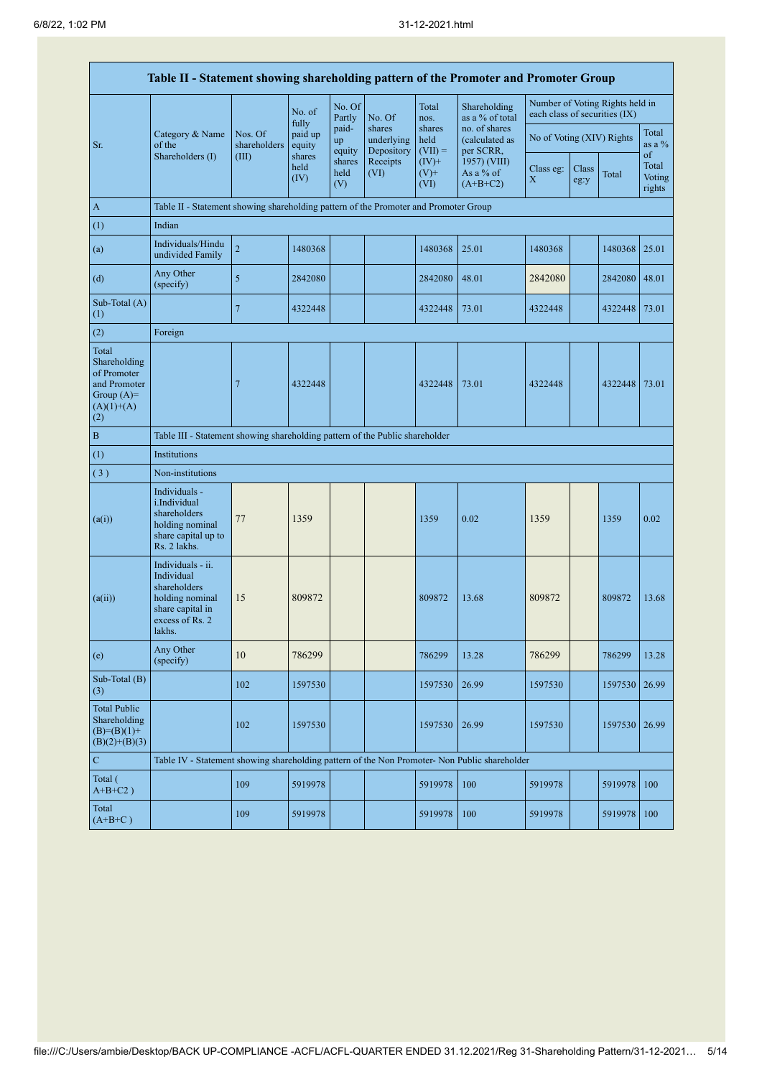|                                                                                             | Table II - Statement showing shareholding pattern of the Promoter and Promoter Group                                |                         |                        |                       |                                    |                             |                                              |                                        |               |                                 |                                 |  |
|---------------------------------------------------------------------------------------------|---------------------------------------------------------------------------------------------------------------------|-------------------------|------------------------|-----------------------|------------------------------------|-----------------------------|----------------------------------------------|----------------------------------------|---------------|---------------------------------|---------------------------------|--|
|                                                                                             |                                                                                                                     |                         | No. of<br>fully        | No. Of<br>Partly      | No. Of                             | Total<br>nos.               | Shareholding<br>as a % of total              | each class of securities (IX)          |               | Number of Voting Rights held in |                                 |  |
| Sr.                                                                                         | Category & Name<br>of the                                                                                           | Nos. Of<br>shareholders | paid up<br>equity      | paid-<br>up<br>equity | shares<br>underlying<br>Depository | shares<br>held<br>$(VII) =$ | no. of shares<br>(calculated as<br>per SCRR, | No of Voting (XIV) Rights              |               |                                 | Total<br>as a $\%$              |  |
|                                                                                             | Shareholders (I)                                                                                                    | (III)                   | shares<br>held<br>(IV) | shares<br>held<br>(V) | Receipts<br>(VI)                   | $(IV)+$<br>$(V)$ +<br>(VI)  | 1957) (VIII)<br>As a % of<br>$(A+B+C2)$      | Class eg:<br>$\boldsymbol{\mathrm{X}}$ | Class<br>eg:y | Total                           | of<br>Total<br>Voting<br>rights |  |
| A                                                                                           | Table II - Statement showing shareholding pattern of the Promoter and Promoter Group                                |                         |                        |                       |                                    |                             |                                              |                                        |               |                                 |                                 |  |
| (1)                                                                                         | Indian                                                                                                              |                         |                        |                       |                                    |                             |                                              |                                        |               |                                 |                                 |  |
| (a)                                                                                         | Individuals/Hindu<br>undivided Family                                                                               | $\overline{c}$          | 1480368                |                       |                                    | 1480368                     | 25.01                                        | 1480368                                |               | 1480368                         | 25.01                           |  |
| (d)                                                                                         | Any Other<br>(specify)                                                                                              | 5                       | 2842080                |                       |                                    | 2842080                     | 48.01                                        | 2842080                                |               | 2842080                         | 48.01                           |  |
| Sub-Total (A)<br>(1)                                                                        |                                                                                                                     | $\overline{7}$          | 4322448                |                       |                                    | 4322448                     | 73.01                                        | 4322448                                |               | 4322448                         | 73.01                           |  |
| (2)                                                                                         | Foreign                                                                                                             |                         |                        |                       |                                    |                             |                                              |                                        |               |                                 |                                 |  |
| Total<br>Shareholding<br>of Promoter<br>and Promoter<br>Group $(A)=$<br>$(A)(1)+(A)$<br>(2) |                                                                                                                     | 7                       | 4322448                |                       |                                    | 4322448                     | 73.01                                        | 4322448                                |               | 4322448                         | 73.01                           |  |
| $\overline{B}$                                                                              | Table III - Statement showing shareholding pattern of the Public shareholder                                        |                         |                        |                       |                                    |                             |                                              |                                        |               |                                 |                                 |  |
| (1)                                                                                         | Institutions                                                                                                        |                         |                        |                       |                                    |                             |                                              |                                        |               |                                 |                                 |  |
| (3)                                                                                         | Non-institutions                                                                                                    |                         |                        |                       |                                    |                             |                                              |                                        |               |                                 |                                 |  |
| (a(i))                                                                                      | Individuals -<br>i.Individual<br>shareholders<br>holding nominal<br>share capital up to<br>Rs. 2 lakhs.             | 77                      | 1359                   |                       |                                    | 1359                        | 0.02                                         | 1359                                   |               | 1359                            | 0.02                            |  |
| (a(ii))                                                                                     | Individuals - ii.<br>Individual<br>shareholders<br>holding nominal<br>share capital in<br>excess of Rs. 2<br>lakhs. | 15                      | 809872                 |                       |                                    | 809872                      | 13.68                                        | 809872                                 |               | 809872                          | 13.68                           |  |
| (e)                                                                                         | Any Other<br>(specify)                                                                                              | $10\,$                  | 786299                 |                       |                                    | 786299                      | 13.28                                        | 786299                                 |               | 786299                          | 13.28                           |  |
| Sub-Total (B)<br>(3)                                                                        |                                                                                                                     | 102                     | 1597530                |                       |                                    | 1597530                     | 26.99                                        | 1597530                                |               | 1597530                         | 26.99                           |  |
| <b>Total Public</b><br>Shareholding<br>$(B)=(B)(1)+$<br>$(B)(2)+(B)(3)$                     |                                                                                                                     | 102                     | 1597530                |                       |                                    | 1597530                     | 26.99                                        | 1597530                                |               | 1597530                         | 26.99                           |  |
| $\overline{C}$                                                                              | Table IV - Statement showing shareholding pattern of the Non Promoter- Non Public shareholder                       |                         |                        |                       |                                    |                             |                                              |                                        |               |                                 |                                 |  |
| Total (<br>$A+B+C2$ )                                                                       |                                                                                                                     | 109                     | 5919978                |                       |                                    | 5919978                     | 100                                          | 5919978                                |               | 5919978                         | 100                             |  |
| Total<br>$(A+B+C)$                                                                          |                                                                                                                     | 109                     | 5919978                |                       |                                    | 5919978                     | 100                                          | 5919978                                |               | 5919978                         | 100                             |  |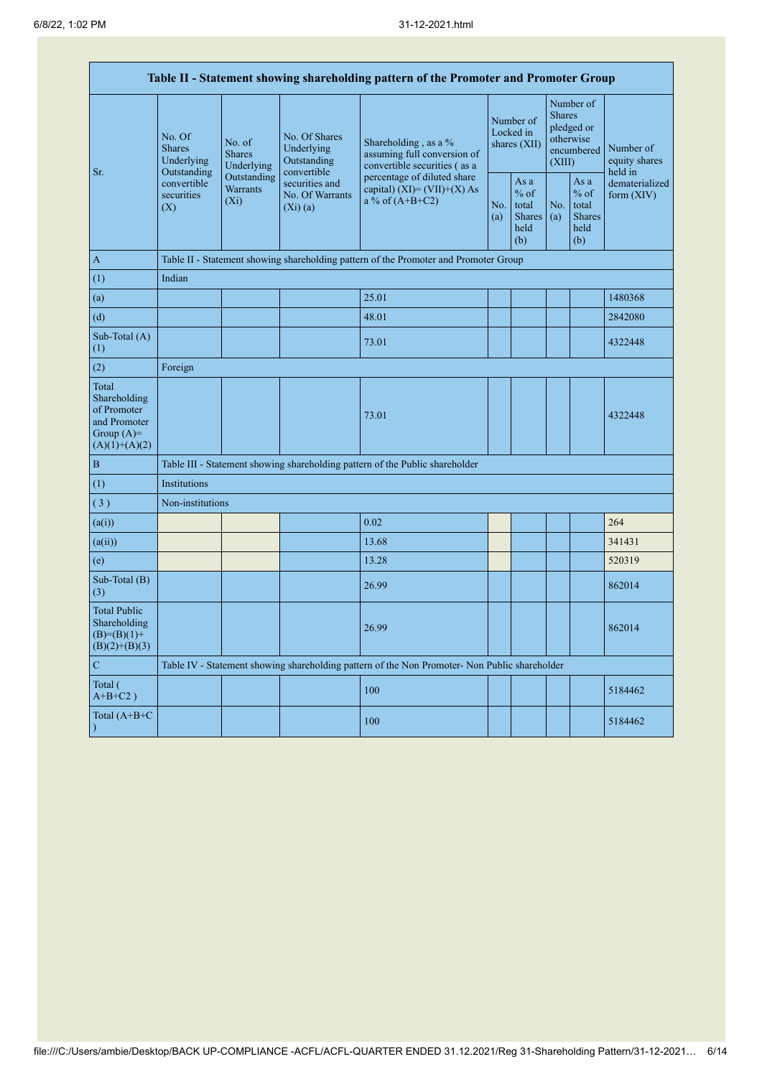| Table II - Statement showing shareholding pattern of the Promoter and Promoter Group    |                                                 |                                       |                                                           |                                                                                               |                                        |                                                         |                                                                               |                                                         |                                       |  |  |  |  |
|-----------------------------------------------------------------------------------------|-------------------------------------------------|---------------------------------------|-----------------------------------------------------------|-----------------------------------------------------------------------------------------------|----------------------------------------|---------------------------------------------------------|-------------------------------------------------------------------------------|---------------------------------------------------------|---------------------------------------|--|--|--|--|
| Sr.                                                                                     | No. Of<br><b>Shares</b><br>Underlying           | No. of<br><b>Shares</b><br>Underlying | No. Of Shares<br>Underlying<br>Outstanding<br>convertible | Shareholding, as a %<br>assuming full conversion of<br>convertible securities (as a           | Number of<br>Locked in<br>shares (XII) |                                                         | Number of<br><b>Shares</b><br>pledged or<br>otherwise<br>encumbered<br>(XIII) |                                                         | Number of<br>equity shares<br>held in |  |  |  |  |
|                                                                                         | Outstanding<br>convertible<br>securities<br>(X) | Outstanding<br>Warrants<br>$(X_i)$    | securities and<br>No. Of Warrants<br>(Xi)(a)              | percentage of diluted share<br>capital) (XI)= $(VII)+(X)$ As<br>$a\%$ of $(A+B+C2)$           | No.<br>(a)                             | As a<br>$%$ of<br>total<br><b>Shares</b><br>held<br>(b) | No.<br>(a)                                                                    | As a<br>$%$ of<br>total<br><b>Shares</b><br>held<br>(b) | dematerialized<br>form $(XIV)$        |  |  |  |  |
| $\mathbf{A}$                                                                            |                                                 |                                       |                                                           | Table II - Statement showing shareholding pattern of the Promoter and Promoter Group          |                                        |                                                         |                                                                               |                                                         |                                       |  |  |  |  |
| (1)                                                                                     | Indian                                          |                                       |                                                           |                                                                                               |                                        |                                                         |                                                                               |                                                         |                                       |  |  |  |  |
| (a)                                                                                     |                                                 |                                       |                                                           | 25.01                                                                                         |                                        |                                                         |                                                                               |                                                         | 1480368                               |  |  |  |  |
| (d)                                                                                     |                                                 |                                       |                                                           | 48.01                                                                                         |                                        |                                                         |                                                                               |                                                         | 2842080                               |  |  |  |  |
| Sub-Total (A)<br>(1)                                                                    |                                                 |                                       |                                                           | 73.01                                                                                         |                                        |                                                         |                                                                               |                                                         | 4322448                               |  |  |  |  |
| (2)                                                                                     | Foreign                                         |                                       |                                                           |                                                                                               |                                        |                                                         |                                                                               |                                                         |                                       |  |  |  |  |
| Total<br>Shareholding<br>of Promoter<br>and Promoter<br>Group $(A)=$<br>$(A)(1)+(A)(2)$ |                                                 |                                       |                                                           | 73.01                                                                                         |                                        |                                                         |                                                                               |                                                         | 4322448                               |  |  |  |  |
| $\, {\bf B}$                                                                            |                                                 |                                       |                                                           | Table III - Statement showing shareholding pattern of the Public shareholder                  |                                        |                                                         |                                                                               |                                                         |                                       |  |  |  |  |
| (1)                                                                                     | Institutions                                    |                                       |                                                           |                                                                                               |                                        |                                                         |                                                                               |                                                         |                                       |  |  |  |  |
| (3)                                                                                     | Non-institutions                                |                                       |                                                           |                                                                                               |                                        |                                                         |                                                                               |                                                         |                                       |  |  |  |  |
| (a(i))                                                                                  |                                                 |                                       |                                                           | 0.02                                                                                          |                                        |                                                         |                                                                               |                                                         | 264                                   |  |  |  |  |
| (a(ii))                                                                                 |                                                 |                                       |                                                           | 13.68                                                                                         |                                        |                                                         |                                                                               |                                                         | 341431                                |  |  |  |  |
| (e)                                                                                     |                                                 |                                       |                                                           | 13.28                                                                                         |                                        |                                                         |                                                                               |                                                         | 520319                                |  |  |  |  |
| Sub-Total (B)<br>(3)                                                                    |                                                 |                                       |                                                           | 26.99                                                                                         |                                        |                                                         |                                                                               |                                                         | 862014                                |  |  |  |  |
| <b>Total Public</b><br>Shareholding<br>$(B)=(B)(1)+$<br>$(B)(2)+(B)(3)$                 |                                                 |                                       |                                                           | 26.99                                                                                         |                                        |                                                         |                                                                               |                                                         | 862014                                |  |  |  |  |
| ${\bf C}$                                                                               |                                                 |                                       |                                                           | Table IV - Statement showing shareholding pattern of the Non Promoter- Non Public shareholder |                                        |                                                         |                                                                               |                                                         |                                       |  |  |  |  |
| Total (<br>$A+B+C2$ )                                                                   |                                                 |                                       |                                                           | 100                                                                                           |                                        |                                                         |                                                                               |                                                         | 5184462                               |  |  |  |  |
| Total (A+B+C                                                                            |                                                 |                                       |                                                           | 100                                                                                           |                                        |                                                         |                                                                               |                                                         | 5184462                               |  |  |  |  |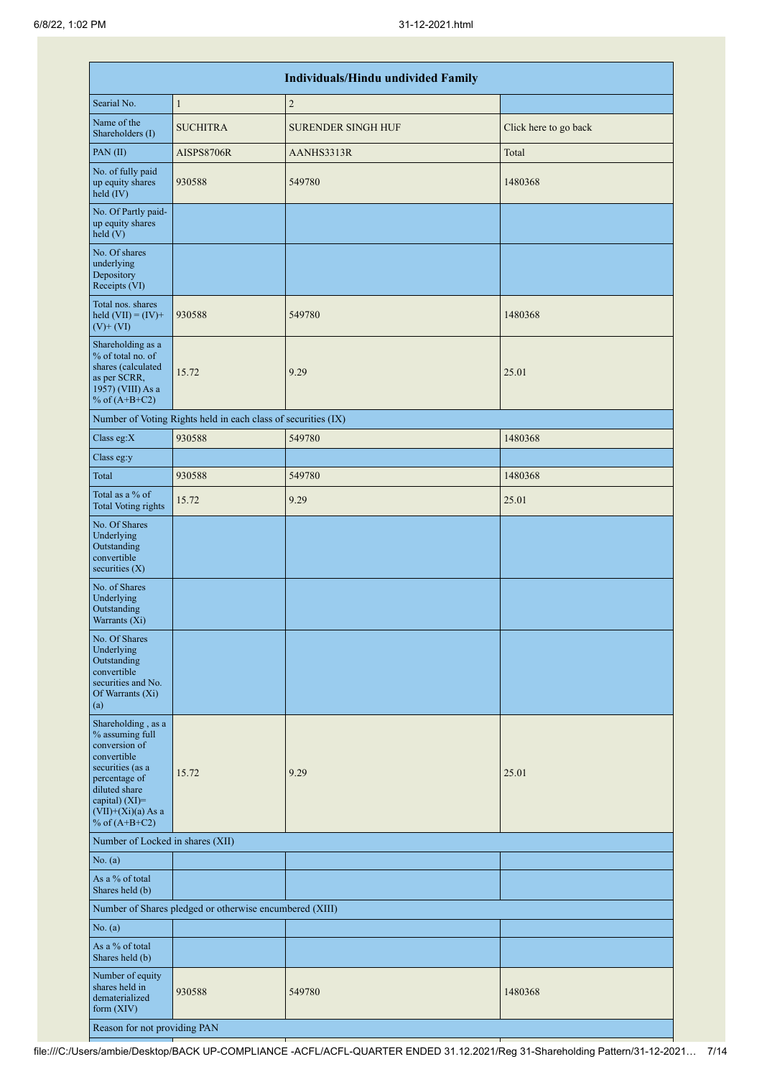|                                                                                                                                                                                             |                                                               | <b>Individuals/Hindu undivided Family</b> |                       |
|---------------------------------------------------------------------------------------------------------------------------------------------------------------------------------------------|---------------------------------------------------------------|-------------------------------------------|-----------------------|
| Searial No.                                                                                                                                                                                 | $\mathbf{1}$                                                  | $\overline{2}$                            |                       |
| Name of the<br>Shareholders (I)                                                                                                                                                             | <b>SUCHITRA</b>                                               | <b>SURENDER SINGH HUF</b>                 | Click here to go back |
| PAN(II)                                                                                                                                                                                     | <b>AISPS8706R</b>                                             | AANHS3313R                                | Total                 |
| No. of fully paid<br>up equity shares<br>held (IV)                                                                                                                                          | 930588                                                        | 549780                                    | 1480368               |
| No. Of Partly paid-<br>up equity shares<br>held(V)                                                                                                                                          |                                                               |                                           |                       |
| No. Of shares<br>underlying<br>Depository<br>Receipts (VI)                                                                                                                                  |                                                               |                                           |                       |
| Total nos. shares<br>held $(VII) = (IV) +$<br>$(V)+(VI)$                                                                                                                                    | 930588                                                        | 549780                                    | 1480368               |
| Shareholding as a<br>% of total no. of<br>shares (calculated<br>as per SCRR,<br>1957) (VIII) As a<br>% of $(A+B+C2)$                                                                        | 15.72                                                         | 9.29                                      | 25.01                 |
|                                                                                                                                                                                             | Number of Voting Rights held in each class of securities (IX) |                                           |                       |
| Class eg:X                                                                                                                                                                                  | 930588                                                        | 549780                                    | 1480368               |
| Class eg:y                                                                                                                                                                                  |                                                               |                                           |                       |
| Total                                                                                                                                                                                       | 930588                                                        | 549780                                    | 1480368               |
| Total as a % of<br><b>Total Voting rights</b>                                                                                                                                               | 15.72                                                         | 9.29                                      | 25.01                 |
| No. Of Shares<br>Underlying<br>Outstanding<br>convertible<br>securities $(X)$                                                                                                               |                                                               |                                           |                       |
| No. of Shares<br>Underlying<br>Outstanding<br>Warrants (Xi)                                                                                                                                 |                                                               |                                           |                       |
| No. Of Shares<br>Underlying<br>Outstanding<br>convertible<br>securities and No.<br>Of Warrants (Xi)<br>(a)                                                                                  |                                                               |                                           |                       |
| Shareholding, as a<br>% assuming full<br>conversion of<br>convertible<br>securities (as a<br>percentage of<br>diluted share<br>capital) $(XI)$ =<br>$(VII)+(Xi)(a)$ As a<br>% of $(A+B+C2)$ | 15.72                                                         | 9.29                                      | 25.01                 |
| Number of Locked in shares (XII)                                                                                                                                                            |                                                               |                                           |                       |
| No. (a)                                                                                                                                                                                     |                                                               |                                           |                       |
| As a % of total<br>Shares held (b)                                                                                                                                                          |                                                               |                                           |                       |
|                                                                                                                                                                                             | Number of Shares pledged or otherwise encumbered (XIII)       |                                           |                       |
| No. (a)                                                                                                                                                                                     |                                                               |                                           |                       |
| As a % of total<br>Shares held (b)                                                                                                                                                          |                                                               |                                           |                       |
| Number of equity<br>shares held in<br>dematerialized<br>form $(XIV)$                                                                                                                        | 930588                                                        | 549780                                    | 1480368               |
| Reason for not providing PAN                                                                                                                                                                |                                                               |                                           |                       |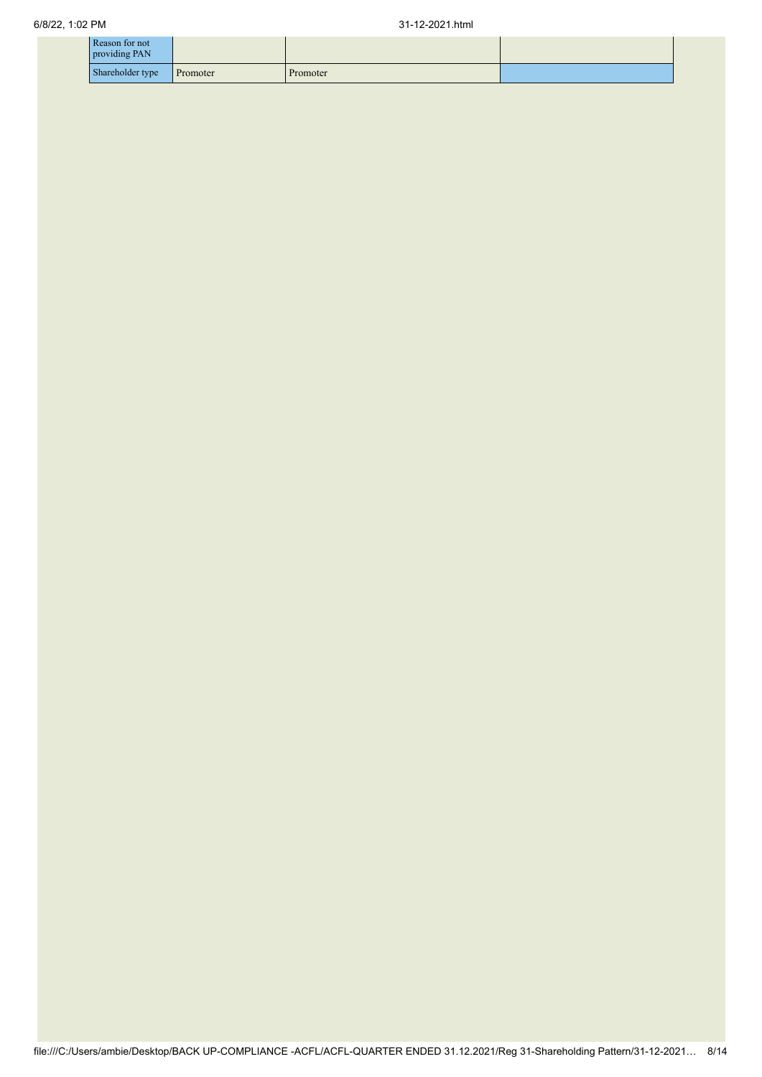| Reason for not<br>providing PAN |          |          |  |
|---------------------------------|----------|----------|--|
| Shareholder type                | Promoter | Promoter |  |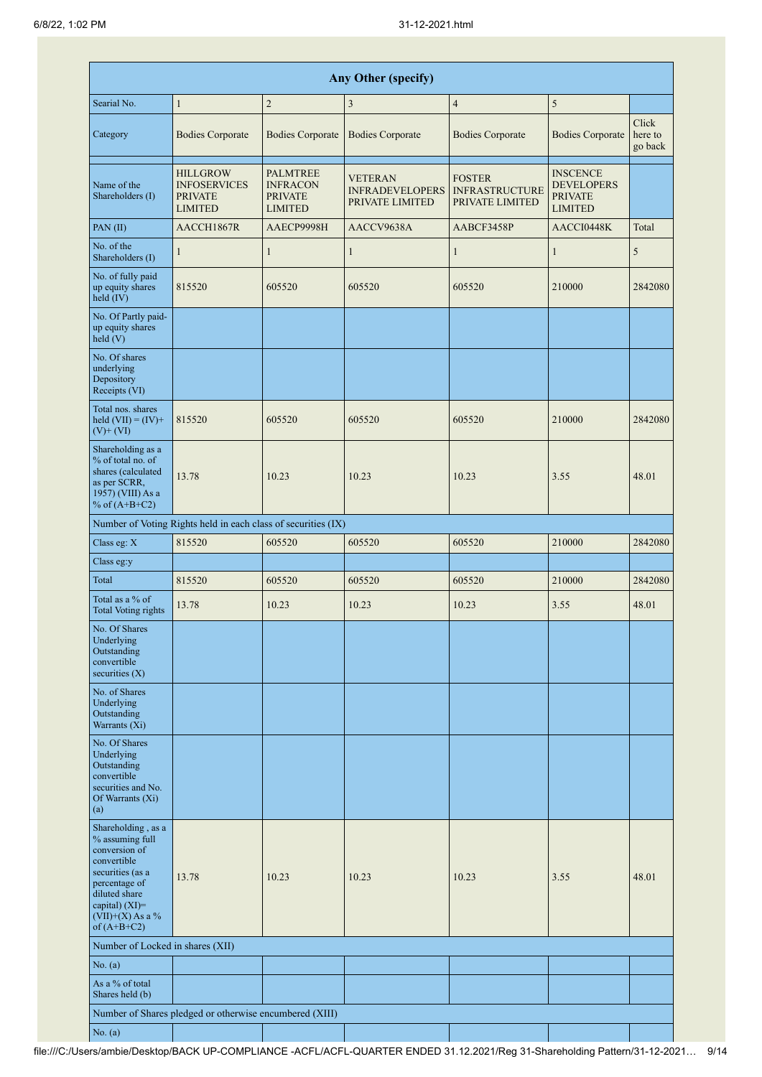|                                                                                                                                                                                      |                                                                            |                                                                        | <b>Any Other (specify)</b>                           |                                                           |                                                                          |                             |
|--------------------------------------------------------------------------------------------------------------------------------------------------------------------------------------|----------------------------------------------------------------------------|------------------------------------------------------------------------|------------------------------------------------------|-----------------------------------------------------------|--------------------------------------------------------------------------|-----------------------------|
| Searial No.                                                                                                                                                                          | $\mathbf{1}$                                                               | $\overline{c}$                                                         | 3                                                    | $\overline{4}$                                            | 5                                                                        |                             |
| Category                                                                                                                                                                             | <b>Bodies Corporate</b>                                                    | <b>Bodies Corporate</b>                                                | <b>Bodies Corporate</b>                              | <b>Bodies Corporate</b>                                   | <b>Bodies Corporate</b>                                                  | Click<br>here to<br>go back |
| Name of the<br>Shareholders (I)                                                                                                                                                      | <b>HILLGROW</b><br><b>INFOSERVICES</b><br><b>PRIVATE</b><br><b>LIMITED</b> | <b>PALMTREE</b><br><b>INFRACON</b><br><b>PRIVATE</b><br><b>LIMITED</b> | VETERAN<br><b>INFRADEVELOPERS</b><br>PRIVATE LIMITED | <b>FOSTER</b><br><b>INFRASTRUCTURE</b><br>PRIVATE LIMITED | <b>INSCENCE</b><br><b>DEVELOPERS</b><br><b>PRIVATE</b><br><b>LIMITED</b> |                             |
| PAN(II)                                                                                                                                                                              | AACCH1867R                                                                 | AAECP9998H                                                             | AACCV9638A                                           | AABCF3458P                                                | AACCI0448K                                                               | Total                       |
| No. of the<br>Shareholders (I)                                                                                                                                                       | $\mathbf{1}$                                                               | $\mathbf{1}$                                                           | $\mathbf{1}$                                         | $\mathbf{1}$                                              | $\mathbf{1}$                                                             | 5                           |
| No. of fully paid<br>up equity shares<br>$held$ (IV)                                                                                                                                 | 815520                                                                     | 605520                                                                 | 605520                                               | 605520                                                    | 210000                                                                   | 2842080                     |
| No. Of Partly paid-<br>up equity shares<br>held (V)                                                                                                                                  |                                                                            |                                                                        |                                                      |                                                           |                                                                          |                             |
| No. Of shares<br>underlying<br>Depository<br>Receipts (VI)                                                                                                                           |                                                                            |                                                                        |                                                      |                                                           |                                                                          |                             |
| Total nos. shares<br>held $(VII) = (IV) +$<br>$(V)$ + $(VI)$                                                                                                                         | 815520                                                                     | 605520                                                                 | 605520                                               | 605520                                                    | 210000                                                                   | 2842080                     |
| Shareholding as a<br>% of total no. of<br>shares (calculated<br>as per SCRR,<br>1957) (VIII) As a<br>% of $(A+B+C2)$                                                                 | 13.78                                                                      | 10.23                                                                  | 10.23                                                | 10.23                                                     | 3.55                                                                     | 48.01                       |
|                                                                                                                                                                                      | Number of Voting Rights held in each class of securities (IX)              |                                                                        |                                                      |                                                           |                                                                          |                             |
| Class eg: X                                                                                                                                                                          | 815520                                                                     | 605520                                                                 | 605520                                               | 605520                                                    | 210000                                                                   | 2842080                     |
| Class eg:y                                                                                                                                                                           |                                                                            |                                                                        |                                                      |                                                           |                                                                          |                             |
| Total                                                                                                                                                                                | 815520                                                                     | 605520                                                                 | 605520                                               | 605520                                                    | 210000                                                                   | 2842080                     |
| Total as a % of<br>Total Voting rights                                                                                                                                               | 13.78                                                                      | 10.23                                                                  | 10.23                                                | 10.23                                                     | 3.55                                                                     | 48.01                       |
| No. Of Shares<br>Underlying<br>Outstanding<br>convertible<br>securities $(X)$                                                                                                        |                                                                            |                                                                        |                                                      |                                                           |                                                                          |                             |
| No. of Shares<br>Underlying<br>Outstanding<br>Warrants (Xi)                                                                                                                          |                                                                            |                                                                        |                                                      |                                                           |                                                                          |                             |
| No. Of Shares<br>Underlying<br>Outstanding<br>convertible<br>securities and No.<br>Of Warrants (Xi)<br>(a)                                                                           |                                                                            |                                                                        |                                                      |                                                           |                                                                          |                             |
| Shareholding, as a<br>% assuming full<br>conversion of<br>convertible<br>securities (as a<br>percentage of<br>diluted share<br>capital) (XI)=<br>$(VII)+(X)$ As a %<br>of $(A+B+C2)$ | 13.78                                                                      | 10.23                                                                  | 10.23                                                | 10.23                                                     | 3.55                                                                     | 48.01                       |
| Number of Locked in shares (XII)                                                                                                                                                     |                                                                            |                                                                        |                                                      |                                                           |                                                                          |                             |
| No. (a)                                                                                                                                                                              |                                                                            |                                                                        |                                                      |                                                           |                                                                          |                             |
| As a % of total<br>Shares held (b)                                                                                                                                                   |                                                                            |                                                                        |                                                      |                                                           |                                                                          |                             |
|                                                                                                                                                                                      | Number of Shares pledged or otherwise encumbered (XIII)                    |                                                                        |                                                      |                                                           |                                                                          |                             |
| No. (a)                                                                                                                                                                              |                                                                            |                                                                        |                                                      |                                                           |                                                                          |                             |

ı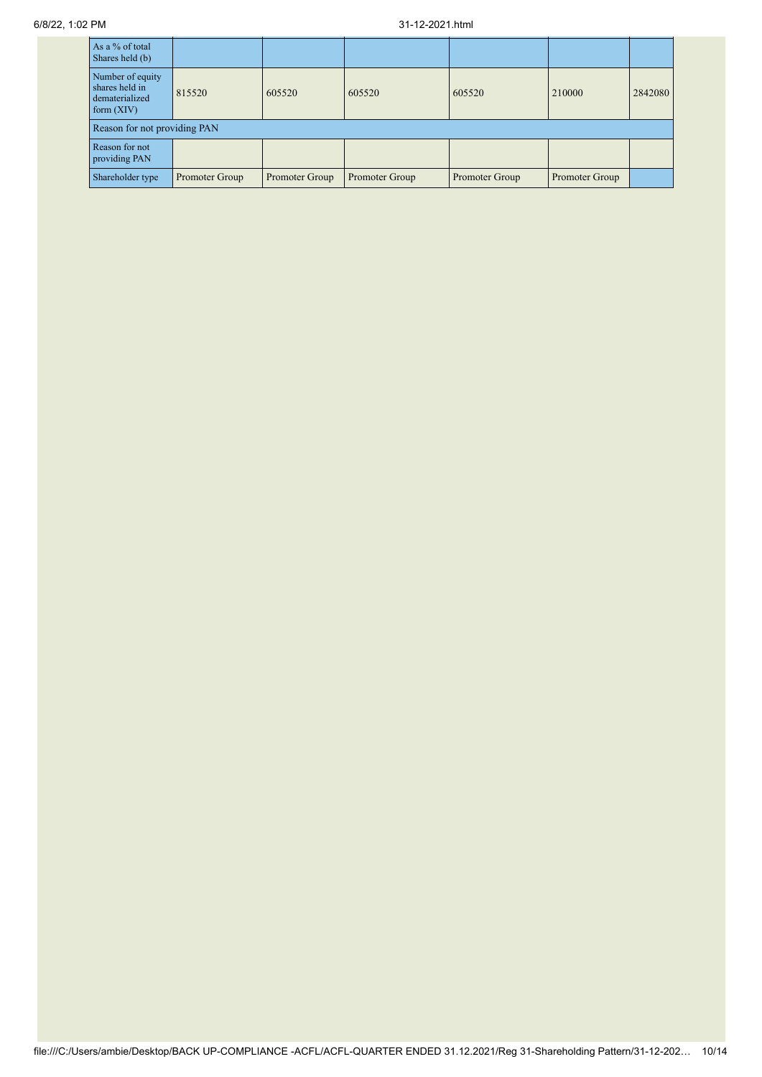| As a % of total<br>Shares held (b)                                   |                |                |                |                |                |         |
|----------------------------------------------------------------------|----------------|----------------|----------------|----------------|----------------|---------|
| Number of equity<br>shares held in<br>dematerialized<br>form $(XIV)$ | 815520         | 605520         | 605520         | 605520         | 210000         | 2842080 |
| Reason for not providing PAN                                         |                |                |                |                |                |         |
| Reason for not<br>providing PAN                                      |                |                |                |                |                |         |
| Shareholder type                                                     | Promoter Group | Promoter Group | Promoter Group | Promoter Group | Promoter Group |         |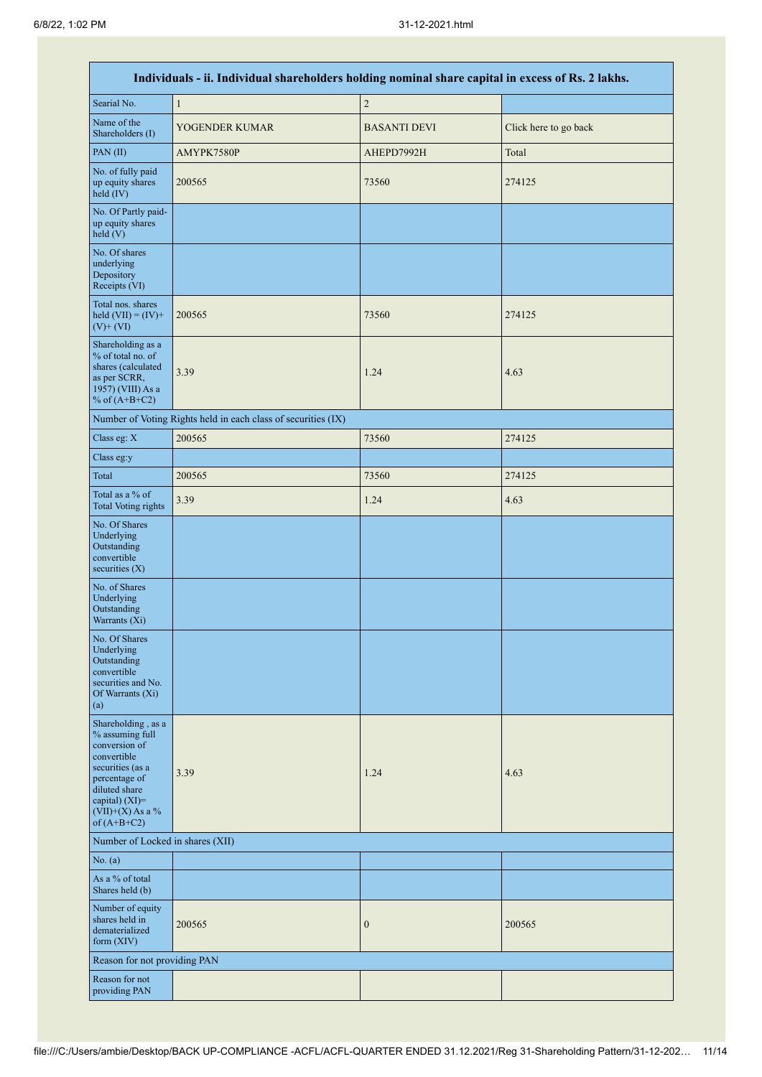٦

|                                                                                                                                                                                      | Individuals - ii. Individual shareholders holding nominal share capital in excess of Rs. 2 lakhs. |                     |                       |  |  |  |  |  |  |  |  |
|--------------------------------------------------------------------------------------------------------------------------------------------------------------------------------------|---------------------------------------------------------------------------------------------------|---------------------|-----------------------|--|--|--|--|--|--|--|--|
| Searial No.                                                                                                                                                                          | $\mathbf{1}$                                                                                      | $\sqrt{2}$          |                       |  |  |  |  |  |  |  |  |
| Name of the<br>Shareholders (I)                                                                                                                                                      | YOGENDER KUMAR                                                                                    | <b>BASANTI DEVI</b> | Click here to go back |  |  |  |  |  |  |  |  |
| PAN(II)                                                                                                                                                                              | AMYPK7580P                                                                                        | AHEPD7992H          | Total                 |  |  |  |  |  |  |  |  |
| No. of fully paid<br>up equity shares<br>held (IV)                                                                                                                                   | 200565                                                                                            | 73560               | 274125                |  |  |  |  |  |  |  |  |
| No. Of Partly paid-<br>up equity shares<br>held(V)                                                                                                                                   |                                                                                                   |                     |                       |  |  |  |  |  |  |  |  |
| No. Of shares<br>underlying<br>Depository<br>Receipts (VI)                                                                                                                           |                                                                                                   |                     |                       |  |  |  |  |  |  |  |  |
| Total nos. shares<br>held $(VII) = (IV) +$<br>$(V)$ + $(VI)$                                                                                                                         | 200565                                                                                            | 73560               | 274125                |  |  |  |  |  |  |  |  |
| Shareholding as a<br>% of total no. of<br>shares (calculated<br>as per SCRR,<br>1957) (VIII) As a<br>% of $(A+B+C2)$                                                                 | 3.39                                                                                              | 1.24                | 4.63                  |  |  |  |  |  |  |  |  |
|                                                                                                                                                                                      | Number of Voting Rights held in each class of securities (IX)                                     |                     |                       |  |  |  |  |  |  |  |  |
| Class eg: X                                                                                                                                                                          | 200565                                                                                            | 73560               | 274125                |  |  |  |  |  |  |  |  |
| Class eg:y                                                                                                                                                                           |                                                                                                   |                     |                       |  |  |  |  |  |  |  |  |
| Total                                                                                                                                                                                | 200565                                                                                            | 73560               | 274125                |  |  |  |  |  |  |  |  |
| Total as a % of<br><b>Total Voting rights</b>                                                                                                                                        | 3.39                                                                                              | 1.24                | 4.63                  |  |  |  |  |  |  |  |  |
| No. Of Shares<br>Underlying<br>Outstanding<br>convertible<br>securities $(X)$                                                                                                        |                                                                                                   |                     |                       |  |  |  |  |  |  |  |  |
| No. of Shares<br>Underlying<br>Outstanding<br>Warrants (Xi)                                                                                                                          |                                                                                                   |                     |                       |  |  |  |  |  |  |  |  |
| No. Of Shares<br>Underlying<br>Outstanding<br>convertible<br>securities and No.<br>Of Warrants (Xi)<br>(a)                                                                           |                                                                                                   |                     |                       |  |  |  |  |  |  |  |  |
| Shareholding, as a<br>% assuming full<br>conversion of<br>convertible<br>securities (as a<br>percentage of<br>diluted share<br>capital) (XI)=<br>$(VII)+(X)$ As a %<br>of $(A+B+C2)$ | 3.39                                                                                              | 1.24                | 4.63                  |  |  |  |  |  |  |  |  |
| Number of Locked in shares (XII)                                                                                                                                                     |                                                                                                   |                     |                       |  |  |  |  |  |  |  |  |
| No. (a)                                                                                                                                                                              |                                                                                                   |                     |                       |  |  |  |  |  |  |  |  |
| As a % of total<br>Shares held (b)                                                                                                                                                   |                                                                                                   |                     |                       |  |  |  |  |  |  |  |  |
| Number of equity<br>shares held in<br>dematerialized<br>form $(XIV)$                                                                                                                 | 200565                                                                                            | $\boldsymbol{0}$    | 200565                |  |  |  |  |  |  |  |  |
| Reason for not providing PAN                                                                                                                                                         |                                                                                                   |                     |                       |  |  |  |  |  |  |  |  |
| Reason for not<br>providing PAN                                                                                                                                                      |                                                                                                   |                     |                       |  |  |  |  |  |  |  |  |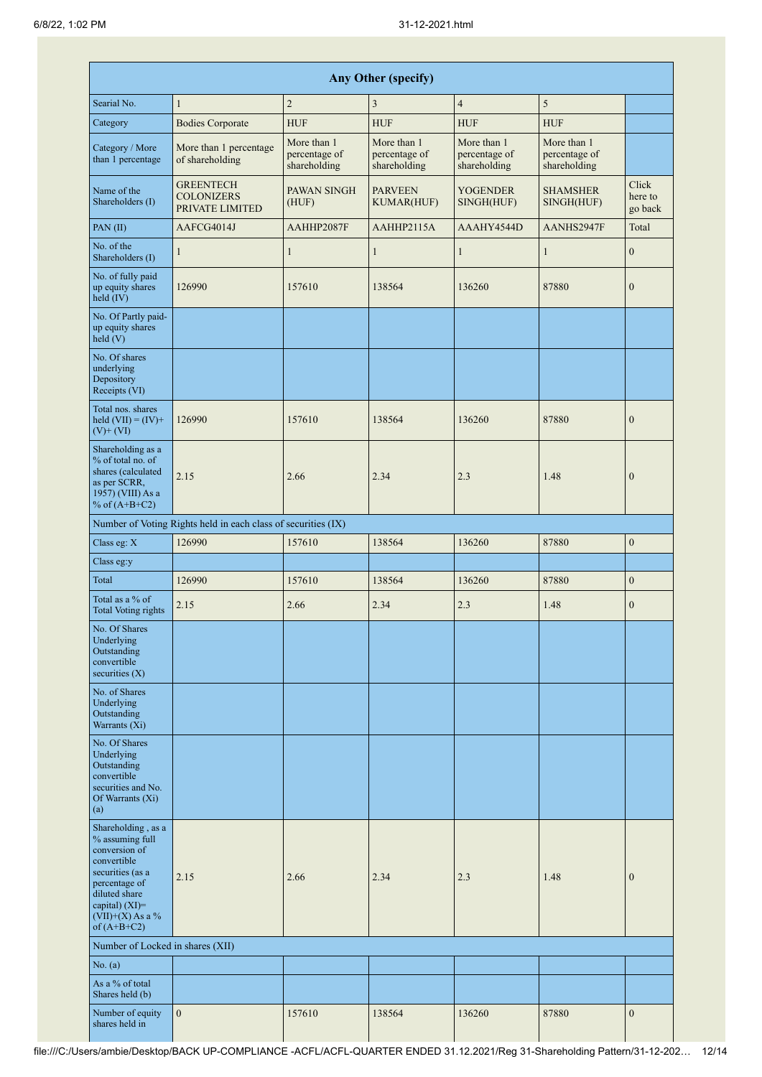|                                                                                                                                                                                      | Any Other (specify)                                           |                                              |                                              |                                              |                                              |                             |  |  |  |  |  |  |  |
|--------------------------------------------------------------------------------------------------------------------------------------------------------------------------------------|---------------------------------------------------------------|----------------------------------------------|----------------------------------------------|----------------------------------------------|----------------------------------------------|-----------------------------|--|--|--|--|--|--|--|
| Searial No.                                                                                                                                                                          | $\mathbf{1}$                                                  | $\overline{2}$                               | 3                                            | $\overline{4}$                               | 5                                            |                             |  |  |  |  |  |  |  |
| Category                                                                                                                                                                             | <b>Bodies Corporate</b>                                       | <b>HUF</b>                                   | <b>HUF</b>                                   | <b>HUF</b>                                   | <b>HUF</b>                                   |                             |  |  |  |  |  |  |  |
| Category / More<br>than 1 percentage                                                                                                                                                 | More than 1 percentage<br>of shareholding                     | More than 1<br>percentage of<br>shareholding | More than 1<br>percentage of<br>shareholding | More than 1<br>percentage of<br>shareholding | More than 1<br>percentage of<br>shareholding |                             |  |  |  |  |  |  |  |
| Name of the<br>Shareholders (I)                                                                                                                                                      | <b>GREENTECH</b><br><b>COLONIZERS</b><br>PRIVATE LIMITED      | PAWAN SINGH<br>(HUF)                         | <b>PARVEEN</b><br><b>KUMAR(HUF)</b>          | <b>YOGENDER</b><br>SINGH(HUF)                | <b>SHAMSHER</b><br>SINGH(HUF)                | Click<br>here to<br>go back |  |  |  |  |  |  |  |
| PAN(II)                                                                                                                                                                              | AAFCG4014J                                                    | AAHHP2087F                                   | AAHHP2115A                                   | AAAHY4544D                                   | AANHS2947F                                   | Total                       |  |  |  |  |  |  |  |
| No. of the<br>Shareholders (I)                                                                                                                                                       | 1                                                             | $\mathbf{1}$                                 | $\mathbf{1}$                                 | $\mathbf{1}$                                 | $\mathbf{1}$                                 | $\mathbf{0}$                |  |  |  |  |  |  |  |
| No. of fully paid<br>up equity shares<br>held (IV)                                                                                                                                   | 126990                                                        | 157610                                       | 138564                                       | 136260                                       | 87880                                        | $\boldsymbol{0}$            |  |  |  |  |  |  |  |
| No. Of Partly paid-<br>up equity shares<br>held(V)                                                                                                                                   |                                                               |                                              |                                              |                                              |                                              |                             |  |  |  |  |  |  |  |
| No. Of shares<br>underlying<br>Depository<br>Receipts (VI)                                                                                                                           |                                                               |                                              |                                              |                                              |                                              |                             |  |  |  |  |  |  |  |
| Total nos. shares<br>held $(VII) = (IV) +$<br>$(V)$ + $(VI)$                                                                                                                         | 126990                                                        | 157610                                       | 138564                                       | 136260                                       | 87880                                        | $\mathbf{0}$                |  |  |  |  |  |  |  |
| Shareholding as a<br>% of total no. of<br>shares (calculated<br>as per SCRR,<br>1957) (VIII) As a<br>% of $(A+B+C2)$                                                                 | 2.15                                                          | 2.66                                         | 2.34                                         | 2.3                                          | 1.48                                         | $\boldsymbol{0}$            |  |  |  |  |  |  |  |
|                                                                                                                                                                                      | Number of Voting Rights held in each class of securities (IX) |                                              |                                              |                                              |                                              |                             |  |  |  |  |  |  |  |
| Class eg: X                                                                                                                                                                          | 126990                                                        | 157610                                       | 138564                                       | 136260                                       | 87880                                        | $\mathbf{0}$                |  |  |  |  |  |  |  |
| Class eg:y                                                                                                                                                                           |                                                               |                                              |                                              |                                              |                                              |                             |  |  |  |  |  |  |  |
| Total                                                                                                                                                                                | 126990                                                        | 157610                                       | 138564                                       | 136260                                       | 87880                                        | $\boldsymbol{0}$            |  |  |  |  |  |  |  |
| Total as a % of<br><b>Total Voting rights</b>                                                                                                                                        | 2.15                                                          | 2.66                                         | 2.34                                         | 2.3                                          | 1.48                                         | $\mathbf{0}$                |  |  |  |  |  |  |  |
| No. Of Shares<br>Underlying<br>Outstanding<br>convertible<br>securities $(X)$                                                                                                        |                                                               |                                              |                                              |                                              |                                              |                             |  |  |  |  |  |  |  |
| No. of Shares<br>Underlying<br>Outstanding<br>Warrants (Xi)                                                                                                                          |                                                               |                                              |                                              |                                              |                                              |                             |  |  |  |  |  |  |  |
| No. Of Shares<br>Underlying<br>Outstanding<br>convertible<br>securities and No.<br>Of Warrants (Xi)<br>(a)                                                                           |                                                               |                                              |                                              |                                              |                                              |                             |  |  |  |  |  |  |  |
| Shareholding, as a<br>% assuming full<br>conversion of<br>convertible<br>securities (as a<br>percentage of<br>diluted share<br>capital) (XI)=<br>$(VII)+(X)$ As a %<br>of $(A+B+C2)$ | 2.15                                                          | 2.66                                         | 2.34                                         | 2.3                                          | 1.48                                         | $\mathbf{0}$                |  |  |  |  |  |  |  |
| Number of Locked in shares (XII)                                                                                                                                                     |                                                               |                                              |                                              |                                              |                                              |                             |  |  |  |  |  |  |  |
| No. (a)                                                                                                                                                                              |                                                               |                                              |                                              |                                              |                                              |                             |  |  |  |  |  |  |  |
| As a % of total<br>Shares held (b)                                                                                                                                                   |                                                               |                                              |                                              |                                              |                                              |                             |  |  |  |  |  |  |  |
| Number of equity<br>shares held in                                                                                                                                                   | $\mathbf{0}$                                                  | 157610                                       | 138564                                       | 136260                                       | 87880                                        | $\boldsymbol{0}$            |  |  |  |  |  |  |  |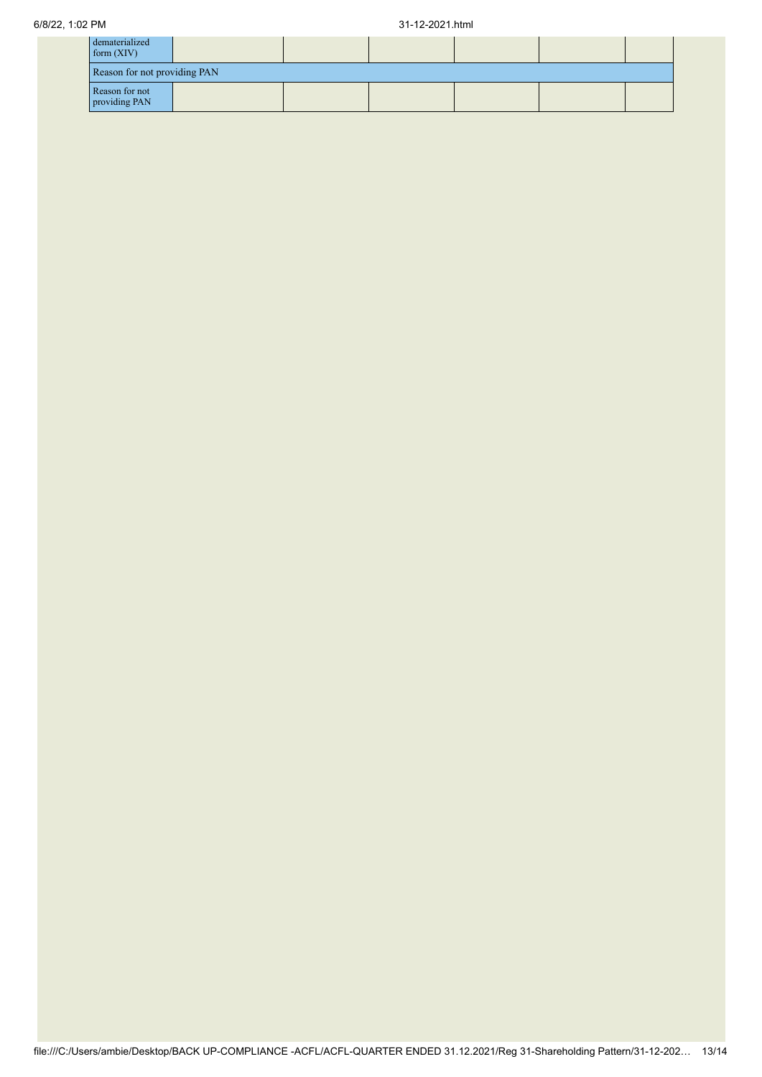| dematerialized<br>form $(XIV)$  |  |  |  |  |  |  |
|---------------------------------|--|--|--|--|--|--|
| Reason for not providing PAN    |  |  |  |  |  |  |
| Reason for not<br>providing PAN |  |  |  |  |  |  |